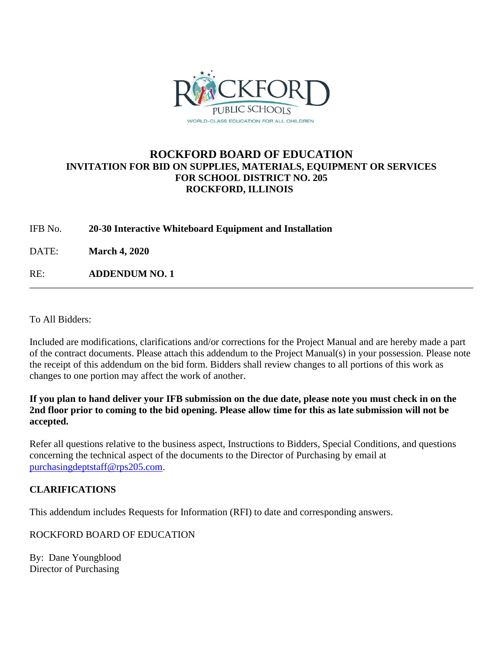

## **ROCKFORD BOARD OF EDUCATION INVITATION FOR BID ON SUPPLIES, MATERIALS, EQUIPMENT OR SERVICES FOR SCHOOL DISTRICT NO. 205 ROCKFORD, ILLINOIS**

IFB No. **20-30 Interactive Whiteboard Equipment and Installation**

DATE: **March 4, 2020**

RE: **ADDENDUM NO. 1**

To All Bidders:

Included are modifications, clarifications and/or corrections for the Project Manual and are hereby made a part of the contract documents. Please attach this addendum to the Project Manual(s) in your possession. Please note the receipt of this addendum on the bid form. Bidders shall review changes to all portions of this work as changes to one portion may affect the work of another.

**If you plan to hand deliver your IFB submission on the due date, please note you must check in on the 2nd floor prior to coming to the bid opening. Please allow time for this as late submission will not be accepted.**

Refer all questions relative to the business aspect, Instructions to Bidders, Special Conditions, and questions concerning the technical aspect of the documents to the Director of Purchasing by email at [purchasingdeptstaff@rps205.com.](mailto:purchasingdeptstaff@rps205.com)

## **CLARIFICATIONS**

This addendum includes Requests for Information (RFI) to date and corresponding answers.

ROCKFORD BOARD OF EDUCATION

By: Dane Youngblood Director of Purchasing